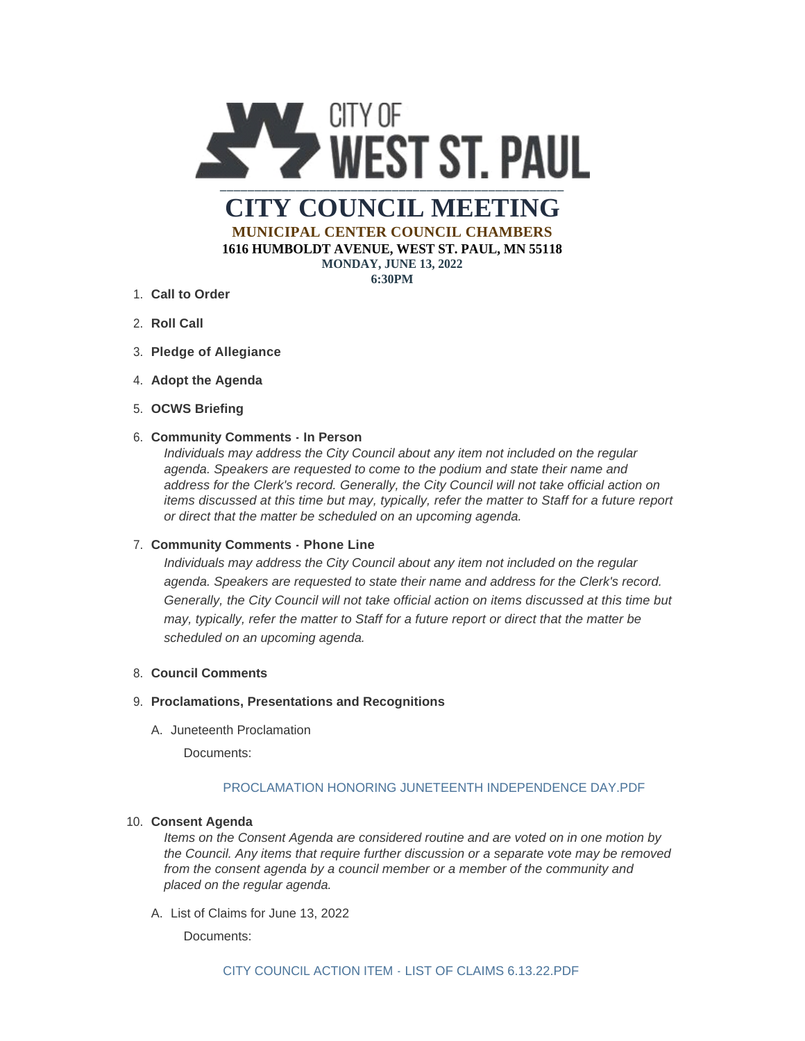

**MUNICIPAL CENTER COUNCIL CHAMBERS 1616 HUMBOLDT AVENUE, WEST ST. PAUL, MN 55118**

**MONDAY, JUNE 13, 2022**

**6:30PM**

- **Call to Order** 1.
- 2. **Roll Call**
- **Pledge of Allegiance** 3.
- 4. Adopt the Agenda
- **OCWS Briefing** 5.

## **Community Comments - In Person** 6.

*Individuals may address the City Council about any item not included on the regular agenda. Speakers are requested to come to the podium and state their name and address for the Clerk's record. Generally, the City Council will not take official action on items discussed at this time but may, typically, refer the matter to Staff for a future report or direct that the matter be scheduled on an upcoming agenda.*

### **Community Comments - Phone Line** 7.

*Individuals may address the City Council about any item not included on the regular agenda. Speakers are requested to state their name and address for the Clerk's record. Generally, the City Council will not take official action on items discussed at this time but may, typically, refer the matter to Staff for a future report or direct that the matter be scheduled on an upcoming agenda.*

## **Council Comments** 8.

#### **Proclamations, Presentations and Recognitions** 9.

A. Juneteenth Proclamation

Documents:

# [PROCLAMATION HONORING JUNETEENTH INDEPENDENCE DAY.PDF](https://www.wspmn.gov/AgendaCenter/ViewFile/Item/13094?fileID=19992)

### **Consent Agenda** 10.

*Items on the Consent Agenda are considered routine and are voted on in one motion by the Council. Any items that require further discussion or a separate vote may be removed from the consent agenda by a council member or a member of the community and placed on the regular agenda.*

A. List of Claims for June 13, 2022

Documents: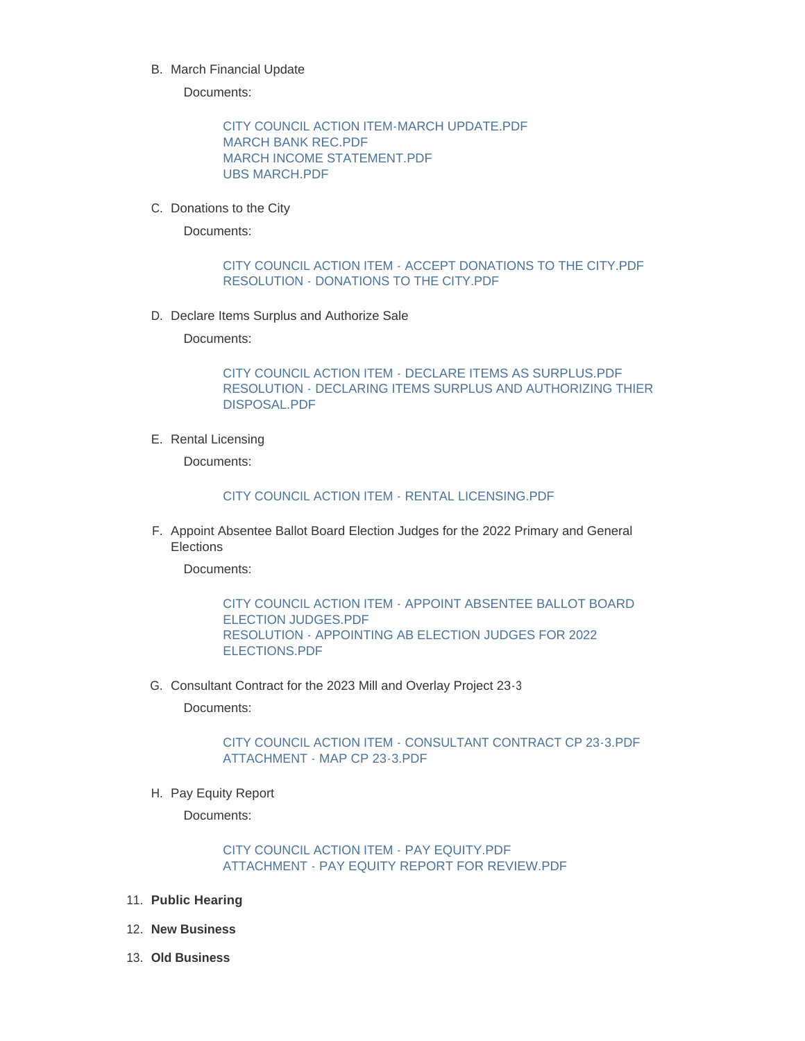B. March Financial Update

Documents:

[CITY COUNCIL ACTION ITEM-MARCH UPDATE.PDF](https://www.wspmn.gov/AgendaCenter/ViewFile/Item/13077?fileID=19989) [MARCH BANK REC.PDF](https://www.wspmn.gov/AgendaCenter/ViewFile/Item/13077?fileID=19986) [MARCH INCOME STATEMENT.PDF](https://www.wspmn.gov/AgendaCenter/ViewFile/Item/13077?fileID=19985) [UBS MARCH.PDF](https://www.wspmn.gov/AgendaCenter/ViewFile/Item/13077?fileID=19988)

C. Donations to the City

Documents:

## [CITY COUNCIL ACTION ITEM - ACCEPT DONATIONS TO THE CITY.PDF](https://www.wspmn.gov/AgendaCenter/ViewFile/Item/13099?fileID=19995) [RESOLUTION - DONATIONS TO THE CITY.PDF](https://www.wspmn.gov/AgendaCenter/ViewFile/Item/13099?fileID=19996)

D. Declare Items Surplus and Authorize Sale

Documents:

[CITY COUNCIL ACTION ITEM - DECLARE ITEMS AS SURPLUS.PDF](https://www.wspmn.gov/AgendaCenter/ViewFile/Item/13100?fileID=20002) [RESOLUTION - DECLARING ITEMS SURPLUS AND AUTHORIZING THIER](https://www.wspmn.gov/AgendaCenter/ViewFile/Item/13100?fileID=20003)  DISPOSAL.PDF

E. Rental Licensing

Documents:

#### [CITY COUNCIL ACTION ITEM - RENTAL LICENSING.PDF](https://www.wspmn.gov/AgendaCenter/ViewFile/Item/13111?fileID=19999)

F. Appoint Absentee Ballot Board Election Judges for the 2022 Primary and General **Elections** 

Documents:

[CITY COUNCIL ACTION ITEM - APPOINT ABSENTEE BALLOT BOARD](https://www.wspmn.gov/AgendaCenter/ViewFile/Item/13117?fileID=20004)  ELECTION JUDGES.PDF [RESOLUTION - APPOINTING AB ELECTION JUDGES FOR 2022](https://www.wspmn.gov/AgendaCenter/ViewFile/Item/13117?fileID=20005)  ELECTIONS.PDF

G. Consultant Contract for the 2023 Mill and Overlay Project 23-3

Documents:

[CITY COUNCIL ACTION ITEM - CONSULTANT CONTRACT CP 23-3.PDF](https://www.wspmn.gov/AgendaCenter/ViewFile/Item/13073?fileID=19993) [ATTACHMENT - MAP CP 23-3.PDF](https://www.wspmn.gov/AgendaCenter/ViewFile/Item/13073?fileID=19994)

H. Pay Equity Report

Documents:

## [CITY COUNCIL ACTION ITEM - PAY EQUITY.PDF](https://www.wspmn.gov/AgendaCenter/ViewFile/Item/13116?fileID=20000) [ATTACHMENT - PAY EQUITY REPORT FOR REVIEW.PDF](https://www.wspmn.gov/AgendaCenter/ViewFile/Item/13116?fileID=20001)

- **Public Hearing** 11.
- **New Business** 12.
- **Old Business** 13.